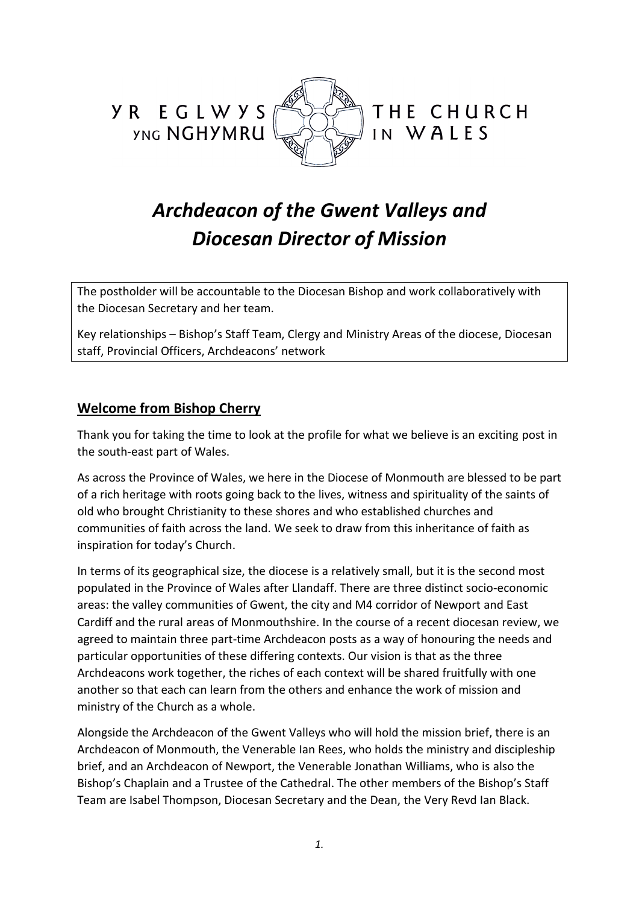

# *Archdeacon of the Gwent Valleys and Diocesan Director of Mission*

The postholder will be accountable to the Diocesan Bishop and work collaboratively with the Diocesan Secretary and her team.

Key relationships – Bishop's Staff Team, Clergy and Ministry Areas of the diocese, Diocesan staff, Provincial Officers, Archdeacons' network

# **Welcome from Bishop Cherry**

Thank you for taking the time to look at the profile for what we believe is an exciting post in the south-east part of Wales.

As across the Province of Wales, we here in the Diocese of Monmouth are blessed to be part of a rich heritage with roots going back to the lives, witness and spirituality of the saints of old who brought Christianity to these shores and who established churches and communities of faith across the land. We seek to draw from this inheritance of faith as inspiration for today's Church.

In terms of its geographical size, the diocese is a relatively small, but it is the second most populated in the Province of Wales after Llandaff. There are three distinct socio-economic areas: the valley communities of Gwent, the city and M4 corridor of Newport and East Cardiff and the rural areas of Monmouthshire. In the course of a recent diocesan review, we agreed to maintain three part-time Archdeacon posts as a way of honouring the needs and particular opportunities of these differing contexts. Our vision is that as the three Archdeacons work together, the riches of each context will be shared fruitfully with one another so that each can learn from the others and enhance the work of mission and ministry of the Church as a whole.

Alongside the Archdeacon of the Gwent Valleys who will hold the mission brief, there is an Archdeacon of Monmouth, the Venerable Ian Rees, who holds the ministry and discipleship brief, and an Archdeacon of Newport, the Venerable Jonathan Williams, who is also the Bishop's Chaplain and a Trustee of the Cathedral. The other members of the Bishop's Staff Team are Isabel Thompson, Diocesan Secretary and the Dean, the Very Revd Ian Black.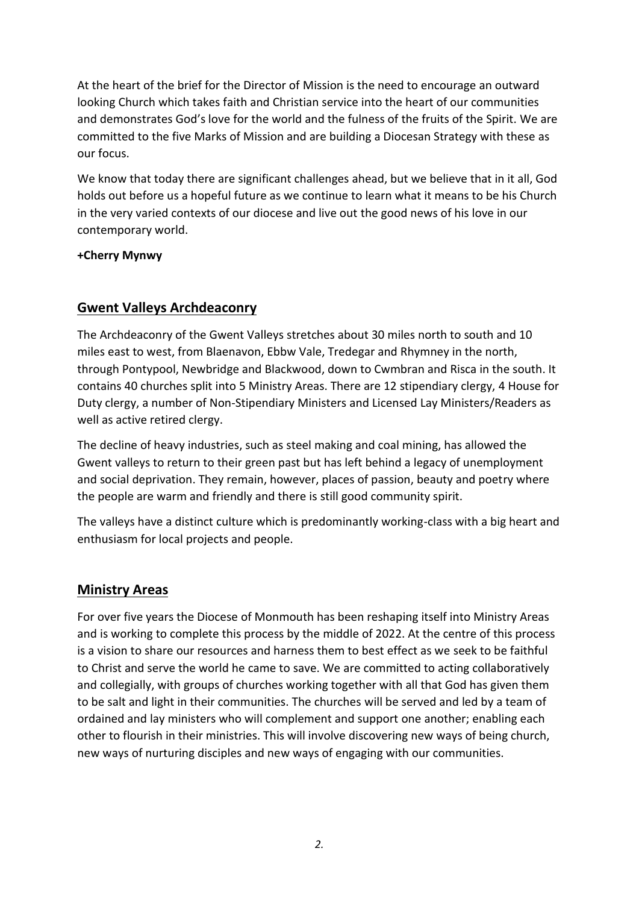At the heart of the brief for the Director of Mission is the need to encourage an outward looking Church which takes faith and Christian service into the heart of our communities and demonstrates God's love for the world and the fulness of the fruits of the Spirit. We are committed to the five Marks of Mission and are building a Diocesan Strategy with these as our focus.

We know that today there are significant challenges ahead, but we believe that in it all, God holds out before us a hopeful future as we continue to learn what it means to be his Church in the very varied contexts of our diocese and live out the good news of his love in our contemporary world.

#### **+Cherry Mynwy**

# **Gwent Valleys Archdeaconry**

The Archdeaconry of the Gwent Valleys stretches about 30 miles north to south and 10 miles east to west, from Blaenavon, Ebbw Vale, Tredegar and Rhymney in the north, through Pontypool, Newbridge and Blackwood, down to Cwmbran and Risca in the south. It contains 40 churches split into 5 Ministry Areas. There are 12 stipendiary clergy, 4 House for Duty clergy, a number of Non-Stipendiary Ministers and Licensed Lay Ministers/Readers as well as active retired clergy.

The decline of heavy industries, such as steel making and coal mining, has allowed the Gwent valleys to return to their green past but has left behind a legacy of unemployment and social deprivation. They remain, however, places of passion, beauty and poetry where the people are warm and friendly and there is still good community spirit.

The valleys have a distinct culture which is predominantly working-class with a big heart and enthusiasm for local projects and people.

# **Ministry Areas**

For over five years the Diocese of Monmouth has been reshaping itself into Ministry Areas and is working to complete this process by the middle of 2022. At the centre of this process is a vision to share our resources and harness them to best effect as we seek to be faithful to Christ and serve the world he came to save. We are committed to acting collaboratively and collegially, with groups of churches working together with all that God has given them to be salt and light in their communities. The churches will be served and led by a team of ordained and lay ministers who will complement and support one another; enabling each other to flourish in their ministries. This will involve discovering new ways of being church, new ways of nurturing disciples and new ways of engaging with our communities.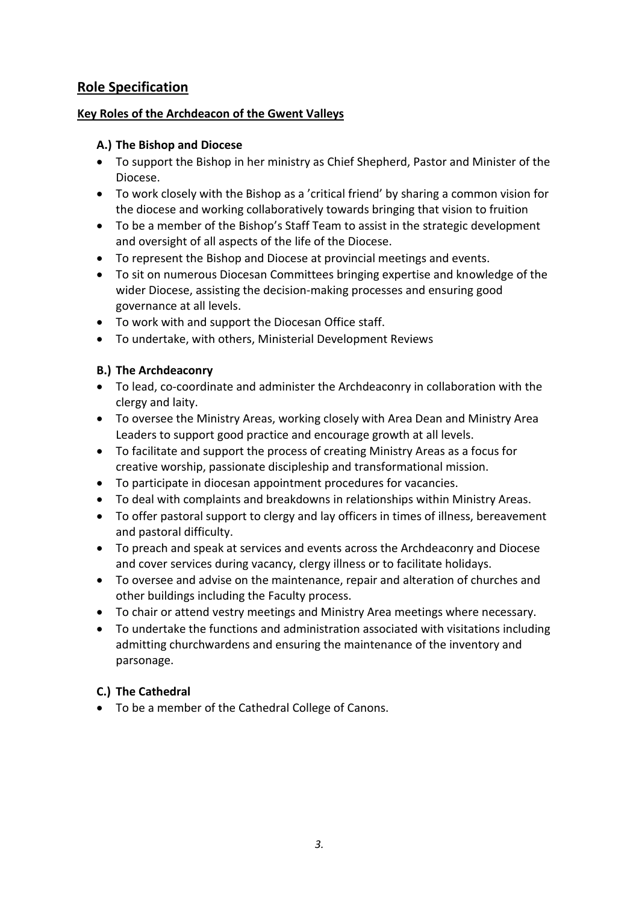# **Role Specification**

#### **Key Roles of the Archdeacon of the Gwent Valleys**

#### **A.) The Bishop and Diocese**

- To support the Bishop in her ministry as Chief Shepherd, Pastor and Minister of the Diocese.
- To work closely with the Bishop as a 'critical friend' by sharing a common vision for the diocese and working collaboratively towards bringing that vision to fruition
- To be a member of the Bishop's Staff Team to assist in the strategic development and oversight of all aspects of the life of the Diocese.
- To represent the Bishop and Diocese at provincial meetings and events.
- To sit on numerous Diocesan Committees bringing expertise and knowledge of the wider Diocese, assisting the decision-making processes and ensuring good governance at all levels.
- To work with and support the Diocesan Office staff.
- To undertake, with others, Ministerial Development Reviews

#### **B.) The Archdeaconry**

- To lead, co-coordinate and administer the Archdeaconry in collaboration with the clergy and laity.
- To oversee the Ministry Areas, working closely with Area Dean and Ministry Area Leaders to support good practice and encourage growth at all levels.
- To facilitate and support the process of creating Ministry Areas as a focus for creative worship, passionate discipleship and transformational mission.
- To participate in diocesan appointment procedures for vacancies.
- To deal with complaints and breakdowns in relationships within Ministry Areas.
- To offer pastoral support to clergy and lay officers in times of illness, bereavement and pastoral difficulty.
- To preach and speak at services and events across the Archdeaconry and Diocese and cover services during vacancy, clergy illness or to facilitate holidays.
- To oversee and advise on the maintenance, repair and alteration of churches and other buildings including the Faculty process.
- To chair or attend vestry meetings and Ministry Area meetings where necessary.
- To undertake the functions and administration associated with visitations including admitting churchwardens and ensuring the maintenance of the inventory and parsonage.

#### **C.) The Cathedral**

• To be a member of the Cathedral College of Canons.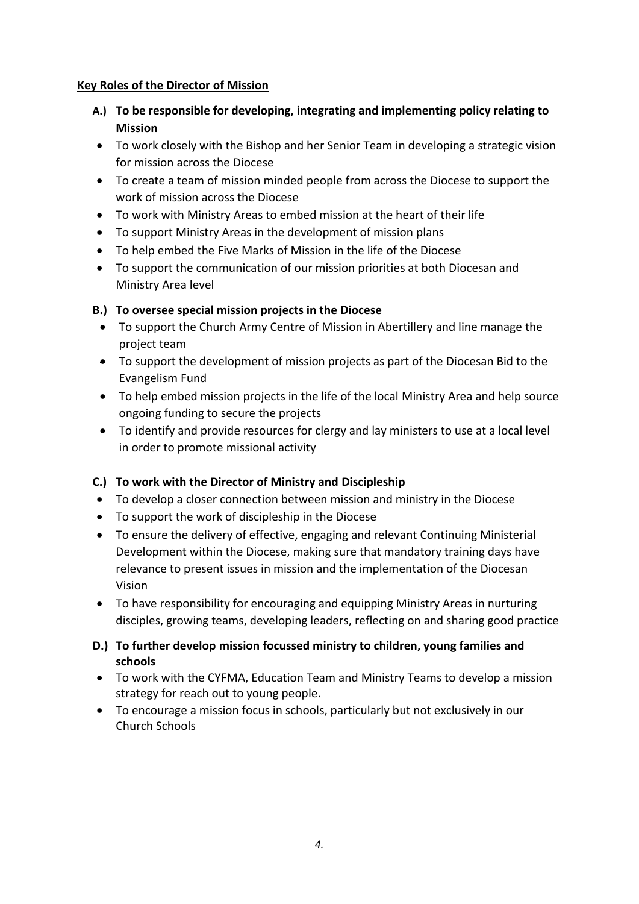#### **Key Roles of the Director of Mission**

- **A.) To be responsible for developing, integrating and implementing policy relating to Mission**
- To work closely with the Bishop and her Senior Team in developing a strategic vision for mission across the Diocese
- To create a team of mission minded people from across the Diocese to support the work of mission across the Diocese
- To work with Ministry Areas to embed mission at the heart of their life
- To support Ministry Areas in the development of mission plans
- To help embed the Five Marks of Mission in the life of the Diocese
- To support the communication of our mission priorities at both Diocesan and Ministry Area level

# **B.) To oversee special mission projects in the Diocese**

- To support the Church Army Centre of Mission in Abertillery and line manage the project team
- To support the development of mission projects as part of the Diocesan Bid to the Evangelism Fund
- To help embed mission projects in the life of the local Ministry Area and help source ongoing funding to secure the projects
- To identify and provide resources for clergy and lay ministers to use at a local level in order to promote missional activity

# **C.) To work with the Director of Ministry and Discipleship**

- To develop a closer connection between mission and ministry in the Diocese
- To support the work of discipleship in the Diocese
- To ensure the delivery of effective, engaging and relevant Continuing Ministerial Development within the Diocese, making sure that mandatory training days have relevance to present issues in mission and the implementation of the Diocesan Vision
- To have responsibility for encouraging and equipping Ministry Areas in nurturing disciples, growing teams, developing leaders, reflecting on and sharing good practice
- **D.) To further develop mission focussed ministry to children, young families and schools**
- To work with the CYFMA, Education Team and Ministry Teams to develop a mission strategy for reach out to young people.
- To encourage a mission focus in schools, particularly but not exclusively in our Church Schools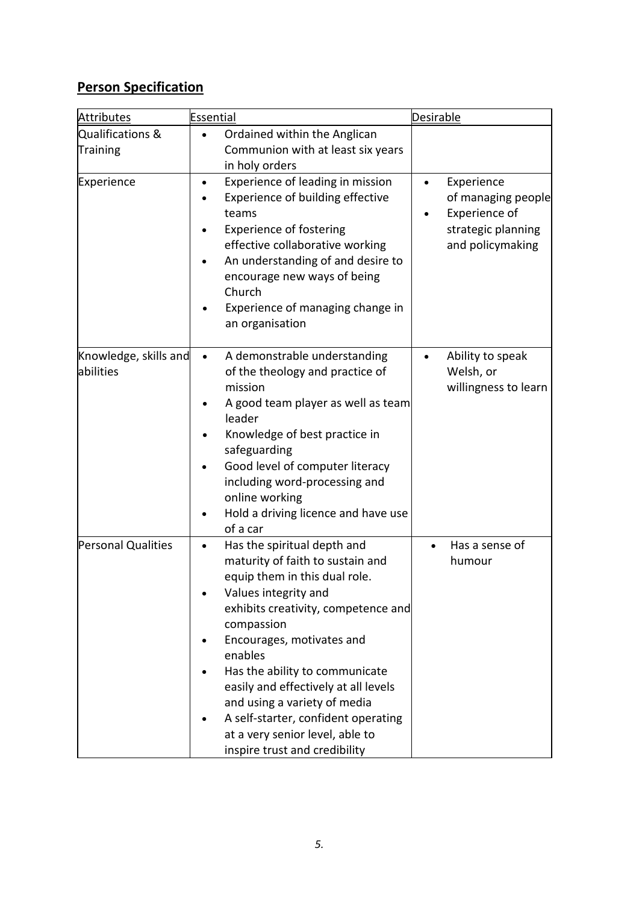# **Person Specification**

| <b>Attributes</b>                  | <b>Essential</b>                                                                                                                                                                                                                                                                                                                                                                                                                                        | <b>Desirable</b>                                                                            |
|------------------------------------|---------------------------------------------------------------------------------------------------------------------------------------------------------------------------------------------------------------------------------------------------------------------------------------------------------------------------------------------------------------------------------------------------------------------------------------------------------|---------------------------------------------------------------------------------------------|
| Qualifications &<br>Training       | Ordained within the Anglican<br>$\bullet$<br>Communion with at least six years<br>in holy orders                                                                                                                                                                                                                                                                                                                                                        |                                                                                             |
| Experience                         | Experience of leading in mission<br>Experience of building effective<br>teams<br><b>Experience of fostering</b><br>effective collaborative working<br>An understanding of and desire to<br>encourage new ways of being<br>Church<br>Experience of managing change in<br>an organisation                                                                                                                                                                 | Experience<br>of managing people<br>Experience of<br>strategic planning<br>and policymaking |
| Knowledge, skills and<br>abilities | A demonstrable understanding<br>of the theology and practice of<br>mission<br>A good team player as well as team<br>leader<br>Knowledge of best practice in<br>safeguarding<br>Good level of computer literacy<br>including word-processing and<br>online working<br>Hold a driving licence and have use<br>of a car                                                                                                                                    | Ability to speak<br>Welsh, or<br>willingness to learn                                       |
| Personal Qualities                 | Has the spiritual depth and<br>$\bullet$<br>maturity of faith to sustain and<br>equip them in this dual role.<br>Values integrity and<br>exhibits creativity, competence and<br>compassion<br>Encourages, motivates and<br>enables<br>Has the ability to communicate<br>easily and effectively at all levels<br>and using a variety of media<br>A self-starter, confident operating<br>at a very senior level, able to<br>inspire trust and credibility | Has a sense of<br>humour                                                                    |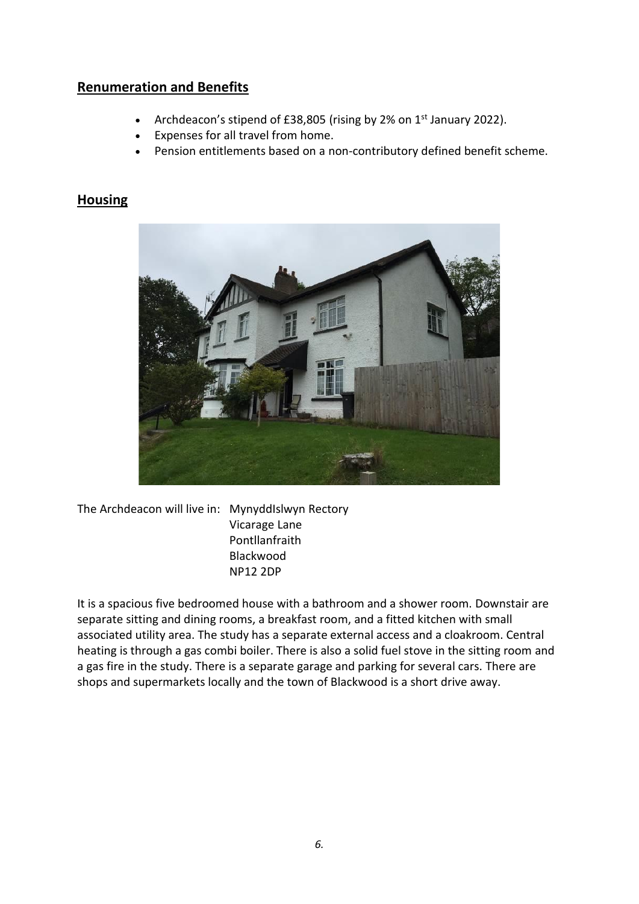# **Renumeration and Benefits**

- Archdeacon's stipend of £38,805 (rising by 2% on 1<sup>st</sup> January 2022).
- Expenses for all travel from home.
- Pension entitlements based on a non-contributory defined benefit scheme.

# **Housing**



The Archdeacon will live in: MynyddIslwyn Rectory Vicarage Lane Pontllanfraith Blackwood NP12 2DP

It is a spacious five bedroomed house with a bathroom and a shower room. Downstair are separate sitting and dining rooms, a breakfast room, and a fitted kitchen with small associated utility area. The study has a separate external access and a cloakroom. Central heating is through a gas combi boiler. There is also a solid fuel stove in the sitting room and a gas fire in the study. There is a separate garage and parking for several cars. There are shops and supermarkets locally and the town of Blackwood is a short drive away.